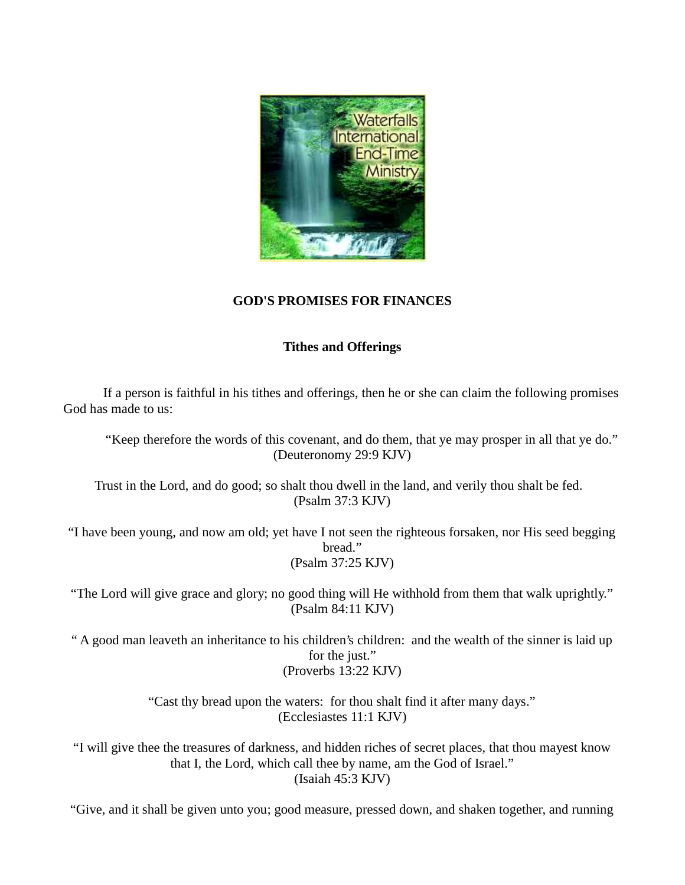

## **GOD'S PROMISES FOR FINANCES**

## **Tithes and Offerings**

If a person is faithful in his tithes and offerings, then he or she can claim the following promises God has made to us:

"Keep therefore the words of this covenant, and do them, that ye may prosper in all that ye do." (Deuteronomy 29:9 KJV)

Trust in the Lord, and do good; so shalt thou dwell in the land, and verily thou shalt be fed. (Psalm 37:3 KJV)

"I have been young, and now am old; yet have I not seen the righteous forsaken, nor His seed begging bread." (Psalm 37:25 KJV)

"The Lord will give grace and glory; no good thing will He withhold from them that walk uprightly." (Psalm 84:11 KJV)

" A good man leaveth an inheritance to his children's children: and the wealth of the sinner is laid up for the just." (Proverbs 13:22 KJV)

> "Cast thy bread upon the waters: for thou shalt find it after many days." (Ecclesiastes 11:1 KJV)

"I will give thee the treasures of darkness, and hidden riches of secret places, that thou mayest know that I, the Lord, which call thee by name, am the God of Israel." (Isaiah 45:3 KJV)

"Give, and it shall be given unto you; good measure, pressed down, and shaken together, and running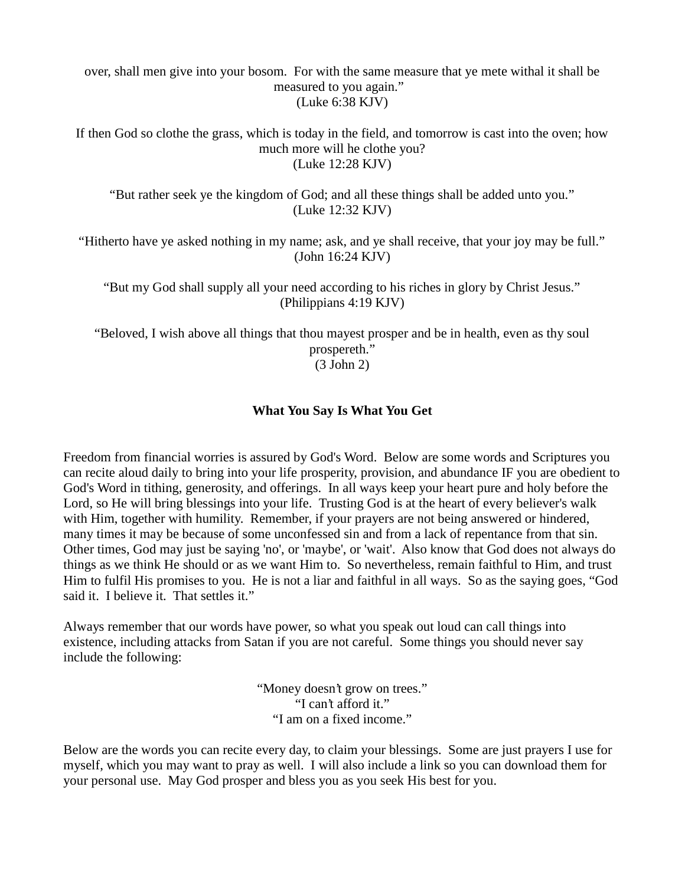over, shall men give into your bosom. For with the same measure that ye mete withal it shall be measured to you again." (Luke 6:38 KJV)

If then God so clothe the grass, which is today in the field, and tomorrow is cast into the oven; how much more will he clothe you? (Luke 12:28 KJV)

"But rather seek ye the kingdom of God; and all these things shall be added unto you." (Luke 12:32 KJV)

"Hitherto have ye asked nothing in my name; ask, and ye shall receive, that your joy may be full." (John 16:24 KJV)

"But my God shall supply all your need according to his riches in glory by Christ Jesus." (Philippians 4:19 KJV)

"Beloved, I wish above all things that thou mayest prosper and be in health, even as thy soul prospereth." (3 John 2)

#### **What You Say Is What You Get**

Freedom from financial worries is assured by God's Word. Below are some words and Scriptures you can recite aloud daily to bring into your life prosperity, provision, and abundance IF you are obedient to God's Word in tithing, generosity, and offerings. In all ways keep your heart pure and holy before the Lord, so He will bring blessings into your life. Trusting God is at the heart of every believer's walk with Him, together with humility. Remember, if your prayers are not being answered or hindered, many times it may be because of some unconfessed sin and from a lack of repentance from that sin. Other times, God may just be saying 'no', or 'maybe', or 'wait'. Also know that God does not always do things as we think He should or as we want Him to. So nevertheless, remain faithful to Him, and trust Him to fulfil His promises to you. He is not a liar and faithful in all ways. So as the saying goes, "God said it. I believe it. That settles it."

Always remember that our words have power, so what you speak out loud can call things into existence, including attacks from Satan if you are not careful. Some things you should never say include the following:

> "Money doesn't grow on trees." "I can't afford it." "I am on a fixed income."

Below are the words you can recite every day, to claim your blessings. Some are just prayers I use for myself, which you may want to pray as well. I will also include a link so you can download them for your personal use. May God prosper and bless you as you seek His best for you.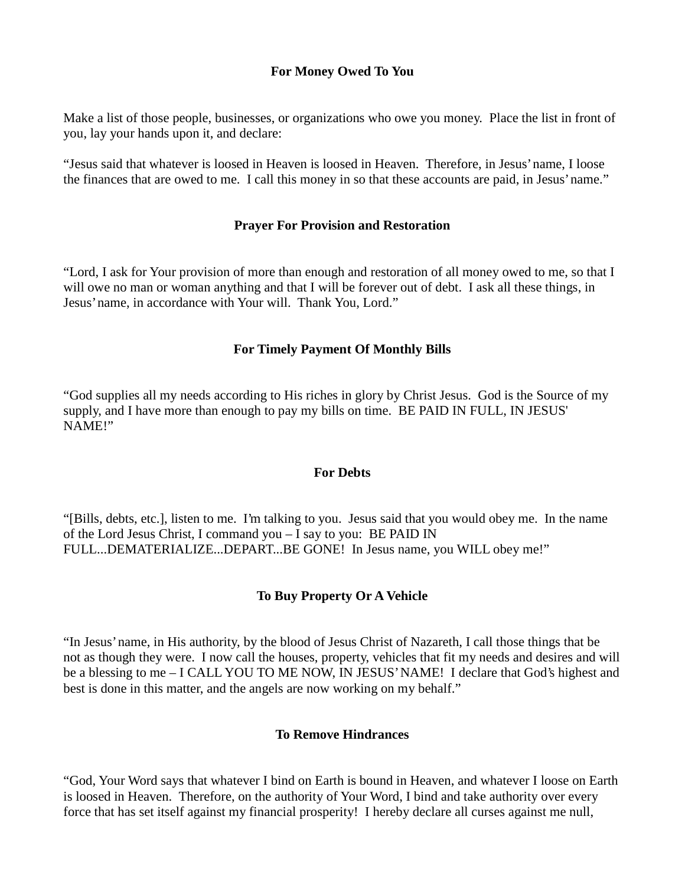### **For Money Owed To You**

Make a list of those people, businesses, or organizations who owe you money. Place the list in front of you, lay your hands upon it, and declare:

"Jesus said that whatever is loosed in Heaven is loosed in Heaven. Therefore, in Jesus' name, I loose the finances that are owed to me. I call this money in so that these accounts are paid, in Jesus' name."

### **Prayer For Provision and Restoration**

"Lord, I ask for Your provision of more than enough and restoration of all money owed to me, so that I will owe no man or woman anything and that I will be forever out of debt. I ask all these things, in Jesus' name, in accordance with Your will. Thank You, Lord."

### **For Timely Payment Of Monthly Bills**

"God supplies all my needs according to His riches in glory by Christ Jesus. God is the Source of my supply, and I have more than enough to pay my bills on time. BE PAID IN FULL, IN JESUS' NAME!"

#### **For Debts**

"[Bills, debts, etc.], listen to me. I'm talking to you. Jesus said that you would obey me. In the name of the Lord Jesus Christ, I command you – I say to you: BE PAID IN FULL...DEMATERIALIZE...DEPART...BE GONE! In Jesus name, you WILL obey me!"

## **To Buy Property Or A Vehicle**

"In Jesus' name, in His authority, by the blood of Jesus Christ of Nazareth, I call those things that be not as though they were. I now call the houses, property, vehicles that fit my needs and desires and will be a blessing to me – I CALL YOU TO ME NOW, IN JESUS' NAME! I declare that God's highest and best is done in this matter, and the angels are now working on my behalf."

#### **To Remove Hindrances**

"God, Your Word says that whatever I bind on Earth is bound in Heaven, and whatever I loose on Earth is loosed in Heaven. Therefore, on the authority of Your Word, I bind and take authority over every force that has set itself against my financial prosperity! I hereby declare all curses against me null,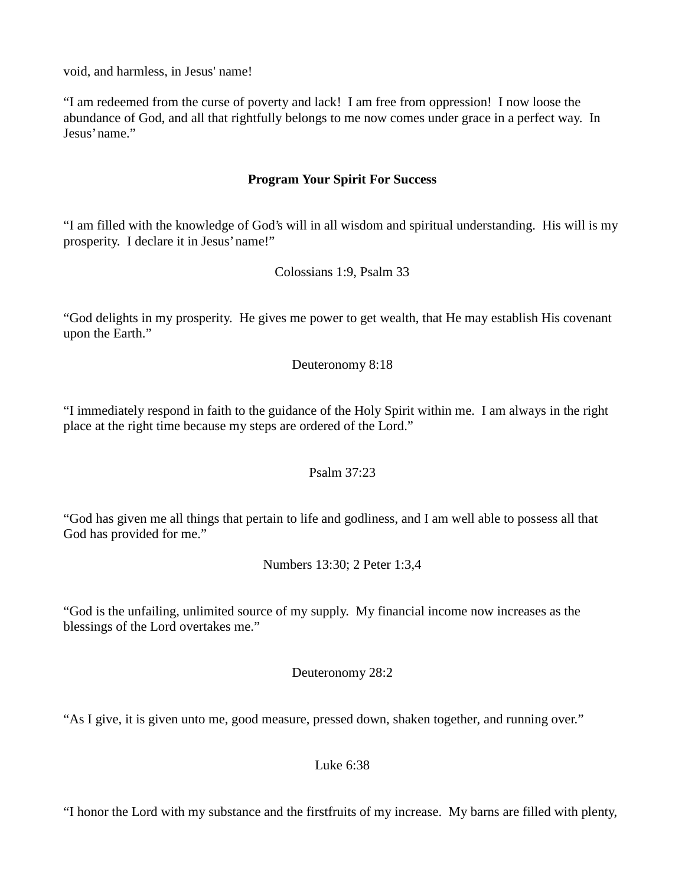void, and harmless, in Jesus' name!

"I am redeemed from the curse of poverty and lack! I am free from oppression! I now loose the abundance of God, and all that rightfully belongs to me now comes under grace in a perfect way. In Jesus' name."

### **Program Your Spirit For Success**

"I am filled with the knowledge of God's will in all wisdom and spiritual understanding. His will is my prosperity. I declare it in Jesus' name!"

Colossians 1:9, Psalm 33

"God delights in my prosperity. He gives me power to get wealth, that He may establish His covenant upon the Earth."

Deuteronomy 8:18

"I immediately respond in faith to the guidance of the Holy Spirit within me. I am always in the right place at the right time because my steps are ordered of the Lord."

Psalm 37:23

"God has given me all things that pertain to life and godliness, and I am well able to possess all that God has provided for me."

Numbers 13:30; 2 Peter 1:3,4

"God is the unfailing, unlimited source of my supply. My financial income now increases as the blessings of the Lord overtakes me."

Deuteronomy 28:2

"As I give, it is given unto me, good measure, pressed down, shaken together, and running over."

Luke 6:38

"I honor the Lord with my substance and the firstfruits of my increase. My barns are filled with plenty,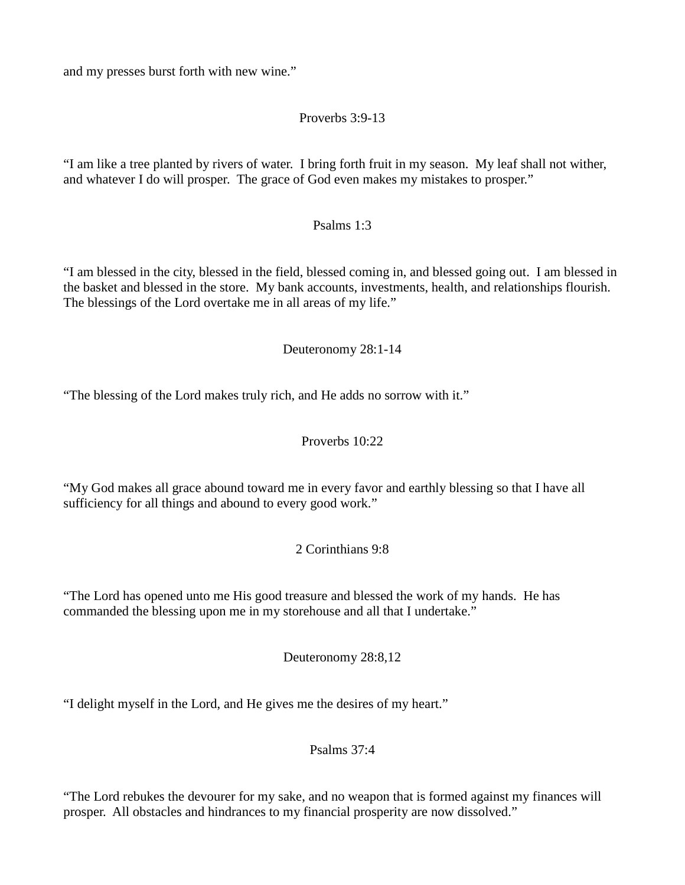and my presses burst forth with new wine."

# Proverbs 3:9-13

"I am like a tree planted by rivers of water. I bring forth fruit in my season. My leaf shall not wither, and whatever I do will prosper. The grace of God even makes my mistakes to prosper."

## Psalms 1:3

"I am blessed in the city, blessed in the field, blessed coming in, and blessed going out. I am blessed in the basket and blessed in the store. My bank accounts, investments, health, and relationships flourish. The blessings of the Lord overtake me in all areas of my life."

## Deuteronomy 28:1-14

"The blessing of the Lord makes truly rich, and He adds no sorrow with it."

## Proverbs 10:22

"My God makes all grace abound toward me in every favor and earthly blessing so that I have all sufficiency for all things and abound to every good work."

# 2 Corinthians 9:8

"The Lord has opened unto me His good treasure and blessed the work of my hands. He has commanded the blessing upon me in my storehouse and all that I undertake."

Deuteronomy 28:8,12

"I delight myself in the Lord, and He gives me the desires of my heart."

Psalms 37:4

"The Lord rebukes the devourer for my sake, and no weapon that is formed against my finances will prosper. All obstacles and hindrances to my financial prosperity are now dissolved."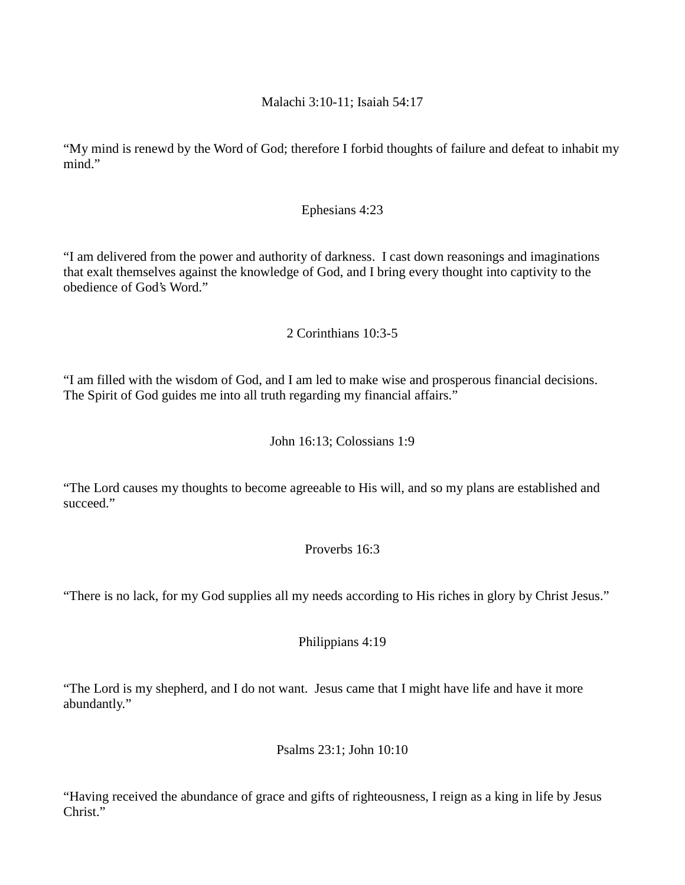### Malachi 3:10-11; Isaiah 54:17

"My mind is renewd by the Word of God; therefore I forbid thoughts of failure and defeat to inhabit my mind."

### Ephesians 4:23

"I am delivered from the power and authority of darkness. I cast down reasonings and imaginations that exalt themselves against the knowledge of God, and I bring every thought into captivity to the obedience of God's Word."

## 2 Corinthians 10:3-5

"I am filled with the wisdom of God, and I am led to make wise and prosperous financial decisions. The Spirit of God guides me into all truth regarding my financial affairs."

### John 16:13; Colossians 1:9

"The Lord causes my thoughts to become agreeable to His will, and so my plans are established and succeed."

## Proverbs 16:3

"There is no lack, for my God supplies all my needs according to His riches in glory by Christ Jesus."

Philippians 4:19

"The Lord is my shepherd, and I do not want. Jesus came that I might have life and have it more abundantly."

Psalms 23:1; John 10:10

"Having received the abundance of grace and gifts of righteousness, I reign as a king in life by Jesus Christ."